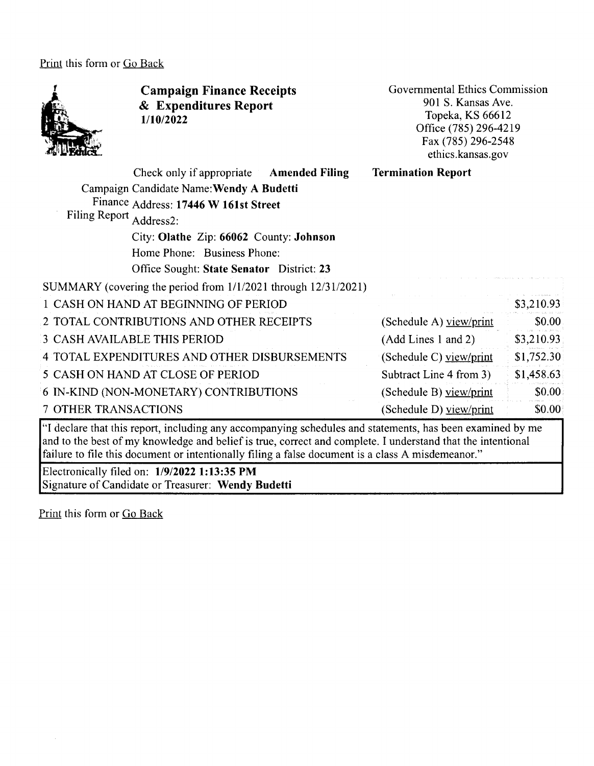Print this form or Go Back



and to the best of my knowledge and belief is true, correct and complete. I understand that the intentional failure to file this document or intentionally filing a false document is a class A misdemeanor."

Electronically filed on: **1/9/2022 1:13:35 PM**  Signature of Candidate or Treasurer: **Wendy Budetti** 

Print this form or Go Back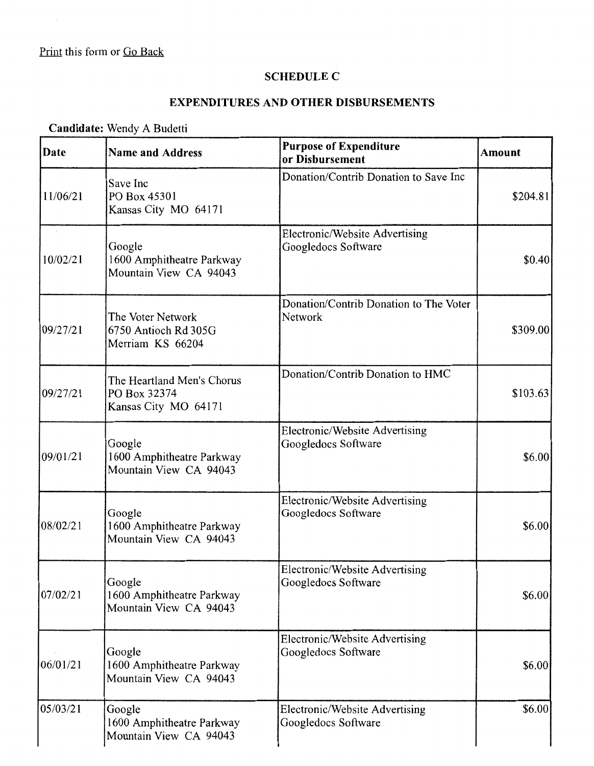$\sim$ 

## **SCHEDULE C**

## **EXPENDITURES AND OTHER DISBURSEMENTS**

## **Candidate:** Wendy A Budetti

| Date     | <b>Name and Address</b>                                            | <b>Purpose of Expenditure</b><br>or Disbursement      | <b>Amount</b> |
|----------|--------------------------------------------------------------------|-------------------------------------------------------|---------------|
| 11/06/21 | Save Inc<br>PO Box 45301<br>Kansas City MO 64171                   | Donation/Contrib Donation to Save Inc                 | \$204.81      |
| 10/02/21 | Google<br>1600 Amphitheatre Parkway<br>Mountain View CA 94043      | Electronic/Website Advertising<br>Googledocs Software | \$0.40        |
| 09/27/21 | The Voter Network<br>6750 Antioch Rd 305G<br>Merriam KS 66204      | Donation/Contrib Donation to The Voter<br>Network     | \$309.00      |
| 09/27/21 | The Heartland Men's Chorus<br>PO Box 32374<br>Kansas City MO 64171 | Donation/Contrib Donation to HMC                      | \$103.63      |
| 09/01/21 | Google<br>1600 Amphitheatre Parkway<br>Mountain View CA 94043      | Electronic/Website Advertising<br>Googledocs Software | \$6.00        |
| 08/02/21 | Google<br>1600 Amphitheatre Parkway<br>Mountain View CA 94043      | Electronic/Website Advertising<br>Googledocs Software | \$6.00        |
| 07/02/21 | Google<br>1600 Amphitheatre Parkway<br>Mountain View CA 94043      | Electronic/Website Advertising<br>Googledocs Software | \$6.00        |
| 06/01/21 | Google<br>1600 Amphitheatre Parkway<br>Mountain View CA 94043      | Electronic/Website Advertising<br>Googledocs Software | \$6.00]       |
| 05/03/21 | Google<br>1600 Amphitheatre Parkway<br>Mountain View CA 94043      | Electronic/Website Advertising<br>Googledocs Software | \$6.00        |